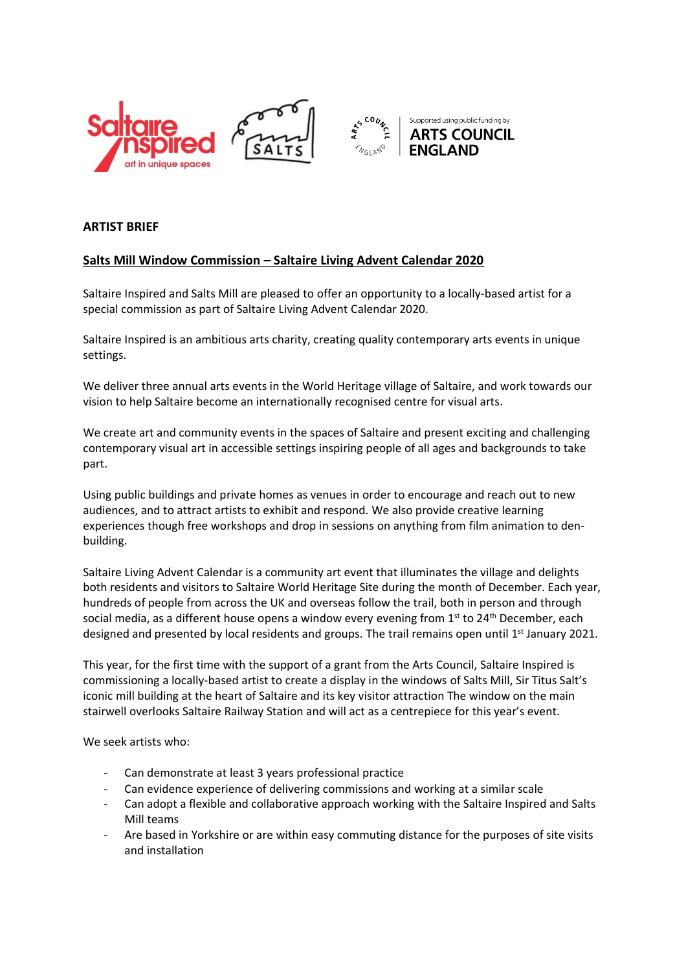



## **ARTIST BRIEF**

## **Salts Mill Window Commission – Saltaire Living Advent Calendar 2020**

Saltaire Inspired and Salts Mill are pleased to offer an opportunity to a locally-based artist for a special commission as part of Saltaire Living Advent Calendar 2020.

Saltaire Inspired is an ambitious arts charity, creating quality contemporary arts events in unique settings.

We deliver three annual arts events in the World Heritage village of Saltaire, and work towards our vision to help Saltaire become an internationally recognised centre for visual arts.

We create art and community events in the spaces of Saltaire and present exciting and challenging contemporary visual art in accessible settings inspiring people of all ages and backgrounds to take part.

Using public buildings and private homes as venues in order to encourage and reach out to new audiences, and to attract artists to exhibit and respond. We also provide creative learning experiences though free workshops and drop in sessions on anything from film animation to denbuilding.

Saltaire Living Advent Calendar is a community art event that illuminates the village and delights both residents and visitors to Saltaire World Heritage Site during the month of December. Each year, hundreds of people from across the UK and overseas follow the trail, both in person and through social media, as a different house opens a window every evening from 1<sup>st</sup> to 24<sup>th</sup> December, each designed and presented by local residents and groups. The trail remains open until 1<sup>st</sup> January 2021.

This year, for the first time with the support of a grant from the Arts Council, Saltaire Inspired is commissioning a locally-based artist to create a display in the windows of Salts Mill, Sir Titus Salt's iconic mill building at the heart of Saltaire and its key visitor attraction The window on the main stairwell overlooks Saltaire Railway Station and will act as a centrepiece for this year's event.

We seek artists who:

- Can demonstrate at least 3 years professional practice
- Can evidence experience of delivering commissions and working at a similar scale
- Can adopt a flexible and collaborative approach working with the Saltaire Inspired and Salts Mill teams
- Are based in Yorkshire or are within easy commuting distance for the purposes of site visits and installation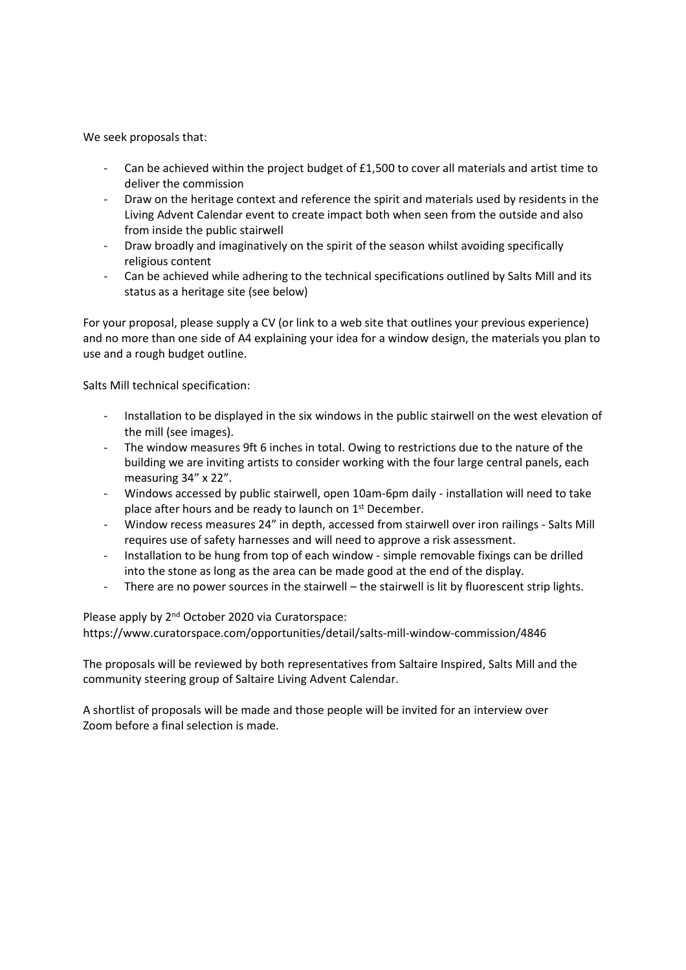We seek proposals that:

- Can be achieved within the project budget of  $£1,500$  to cover all materials and artist time to deliver the commission
- Draw on the heritage context and reference the spirit and materials used by residents in the Living Advent Calendar event to create impact both when seen from the outside and also from inside the public stairwell
- Draw broadly and imaginatively on the spirit of the season whilst avoiding specifically religious content
- Can be achieved while adhering to the technical specifications outlined by Salts Mill and its status as a heritage site (see below)

For your proposal, please supply a CV (or link to a web site that outlines your previous experience) and no more than one side of A4 explaining your idea for a window design, the materials you plan to use and a rough budget outline.

Salts Mill technical specification:

- Installation to be displayed in the six windows in the public stairwell on the west elevation of the mill (see images).
- The window measures 9ft 6 inches in total. Owing to restrictions due to the nature of the building we are inviting artists to consider working with the four large central panels, each measuring 34" x 22".
- Windows accessed by public stairwell, open 10am-6pm daily installation will need to take place after hours and be ready to launch on 1<sup>st</sup> December.
- Window recess measures 24" in depth, accessed from stairwell over iron railings Salts Mill requires use of safety harnesses and will need to approve a risk assessment.
- Installation to be hung from top of each window simple removable fixings can be drilled into the stone as long as the area can be made good at the end of the display.
- There are no power sources in the stairwell the stairwell is lit by fluorescent strip lights.

Please apply by 2<sup>nd</sup> October 2020 via Curatorspace:

[https://www.curatorspace.com/opportunities/detail/salts-mill-window-commission/4846](mailto:events@saltaireinspired.org.uk)

The proposals will be reviewed by both representatives from Saltaire Inspired, Salts Mill and the community steering group of Saltaire Living Advent Calendar.

A shortlist of proposals will be made and those people will be invited for an interview over Zoom before a final selection is made.